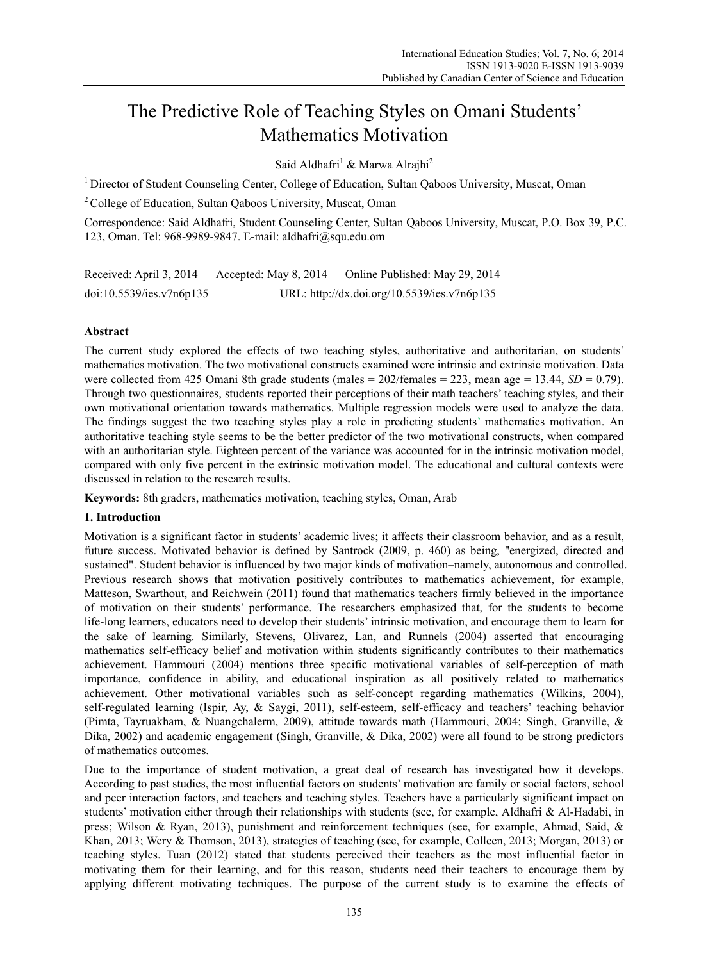# The Predictive Role of Teaching Styles on Omani Students' Mathematics Motivation

Said Aldhafri<sup>1</sup> & Marwa Alrajhi<sup>2</sup>

<sup>1</sup> Director of Student Counseling Center, College of Education, Sultan Qaboos University, Muscat, Oman

<sup>2</sup> College of Education, Sultan Oaboos University, Muscat, Oman

Correspondence: Said Aldhafri, Student Counseling Center, Sultan Qaboos University, Muscat, P.O. Box 39, P.C. 123, Oman. Tel: 968-9989-9847. E-mail: aldhafri@squ.edu.om

Received: April 3, 2014 Accepted: May 8, 2014 Online Published: May 29, 2014 doi:10.5539/ies.v7n6p135 URL: http://dx.doi.org/10.5539/ies.v7n6p135

# **Abstract**

The current study explored the effects of two teaching styles, authoritative and authoritarian, on students' mathematics motivation. The two motivational constructs examined were intrinsic and extrinsic motivation. Data were collected from 425 Omani 8th grade students (males =  $202$ /females =  $223$ , mean age = 13.44, *SD* = 0.79). Through two questionnaires, students reported their perceptions of their math teachers' teaching styles, and their own motivational orientation towards mathematics. Multiple regression models were used to analyze the data. The findings suggest the two teaching styles play a role in predicting students' mathematics motivation. An authoritative teaching style seems to be the better predictor of the two motivational constructs, when compared with an authoritarian style. Eighteen percent of the variance was accounted for in the intrinsic motivation model, compared with only five percent in the extrinsic motivation model. The educational and cultural contexts were discussed in relation to the research results.

**Keywords:** 8th graders, mathematics motivation, teaching styles, Oman, Arab

## **1. Introduction**

Motivation is a significant factor in students' academic lives; it affects their classroom behavior, and as a result, future success. Motivated behavior is defined by Santrock (2009, p. 460) as being, "energized, directed and sustained". Student behavior is influenced by two major kinds of motivation–namely, autonomous and controlled. Previous research shows that motivation positively contributes to mathematics achievement, for example, Matteson, Swarthout, and Reichwein (2011) found that mathematics teachers firmly believed in the importance of motivation on their students' performance. The researchers emphasized that, for the students to become life-long learners, educators need to develop their students' intrinsic motivation, and encourage them to learn for the sake of learning. Similarly, Stevens, Olivarez, Lan, and Runnels (2004) asserted that encouraging mathematics self-efficacy belief and motivation within students significantly contributes to their mathematics achievement. Hammouri (2004) mentions three specific motivational variables of self-perception of math importance, confidence in ability, and educational inspiration as all positively related to mathematics achievement. Other motivational variables such as self-concept regarding mathematics (Wilkins, 2004), self-regulated learning (Ispir, Ay, & Saygi, 2011), self-esteem, self-efficacy and teachers' teaching behavior (Pimta, Tayruakham, & Nuangchalerm, 2009), attitude towards math (Hammouri, 2004; Singh, Granville, & Dika, 2002) and academic engagement (Singh, Granville, & Dika, 2002) were all found to be strong predictors of mathematics outcomes.

Due to the importance of student motivation, a great deal of research has investigated how it develops. According to past studies, the most influential factors on students' motivation are family or social factors, school and peer interaction factors, and teachers and teaching styles. Teachers have a particularly significant impact on students' motivation either through their relationships with students (see, for example, Aldhafri & Al-Hadabi, in press; Wilson & Ryan, 2013), punishment and reinforcement techniques (see, for example, Ahmad, Said, & Khan, 2013; Wery & Thomson, 2013), strategies of teaching (see, for example, Colleen, 2013; Morgan, 2013) or teaching styles. Tuan (2012) stated that students perceived their teachers as the most influential factor in motivating them for their learning, and for this reason, students need their teachers to encourage them by applying different motivating techniques. The purpose of the current study is to examine the effects of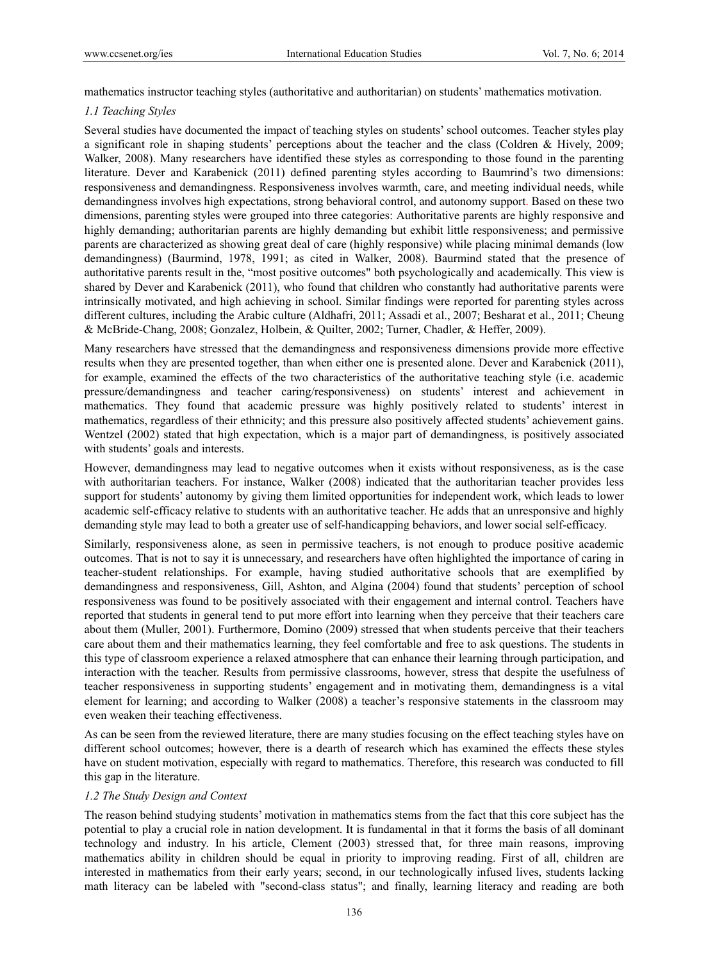mathematics instructor teaching styles (authoritative and authoritarian) on students' mathematics motivation.

# *1.1 Teaching Styles*

Several studies have documented the impact of teaching styles on students' school outcomes. Teacher styles play a significant role in shaping students' perceptions about the teacher and the class (Coldren & Hively, 2009; Walker, 2008). Many researchers have identified these styles as corresponding to those found in the parenting literature. Dever and Karabenick (2011) defined parenting styles according to Baumrind's two dimensions: responsiveness and demandingness. Responsiveness involves warmth, care, and meeting individual needs, while demandingness involves high expectations, strong behavioral control, and autonomy support. Based on these two dimensions, parenting styles were grouped into three categories: Authoritative parents are highly responsive and highly demanding; authoritarian parents are highly demanding but exhibit little responsiveness; and permissive parents are characterized as showing great deal of care (highly responsive) while placing minimal demands (low demandingness) (Baurmind, 1978, 1991; as cited in Walker, 2008). Baurmind stated that the presence of authoritative parents result in the, "most positive outcomes" both psychologically and academically. This view is shared by Dever and Karabenick (2011), who found that children who constantly had authoritative parents were intrinsically motivated, and high achieving in school. Similar findings were reported for parenting styles across different cultures, including the Arabic culture (Aldhafri, 2011; Assadi et al., 2007; Besharat et al., 2011; Cheung & McBride-Chang, 2008; Gonzalez, Holbein, & Quilter, 2002; Turner, Chadler, & Heffer, 2009).

Many researchers have stressed that the demandingness and responsiveness dimensions provide more effective results when they are presented together, than when either one is presented alone. Dever and Karabenick (2011), for example, examined the effects of the two characteristics of the authoritative teaching style (i.e. academic pressure/demandingness and teacher caring/responsiveness) on students' interest and achievement in mathematics. They found that academic pressure was highly positively related to students' interest in mathematics, regardless of their ethnicity; and this pressure also positively affected students' achievement gains. Wentzel (2002) stated that high expectation, which is a major part of demandingness, is positively associated with students' goals and interests.

However, demandingness may lead to negative outcomes when it exists without responsiveness, as is the case with authoritarian teachers. For instance, Walker (2008) indicated that the authoritarian teacher provides less support for students' autonomy by giving them limited opportunities for independent work, which leads to lower academic self-efficacy relative to students with an authoritative teacher. He adds that an unresponsive and highly demanding style may lead to both a greater use of self-handicapping behaviors, and lower social self-efficacy.

Similarly, responsiveness alone, as seen in permissive teachers, is not enough to produce positive academic outcomes. That is not to say it is unnecessary, and researchers have often highlighted the importance of caring in teacher-student relationships. For example, having studied authoritative schools that are exemplified by demandingness and responsiveness, Gill, Ashton, and Algina (2004) found that students' perception of school responsiveness was found to be positively associated with their engagement and internal control. Teachers have reported that students in general tend to put more effort into learning when they perceive that their teachers care about them (Muller, 2001). Furthermore, Domino (2009) stressed that when students perceive that their teachers care about them and their mathematics learning, they feel comfortable and free to ask questions. The students in this type of classroom experience a relaxed atmosphere that can enhance their learning through participation, and interaction with the teacher. Results from permissive classrooms, however, stress that despite the usefulness of teacher responsiveness in supporting students' engagement and in motivating them, demandingness is a vital element for learning; and according to Walker (2008) a teacher's responsive statements in the classroom may even weaken their teaching effectiveness.

As can be seen from the reviewed literature, there are many studies focusing on the effect teaching styles have on different school outcomes; however, there is a dearth of research which has examined the effects these styles have on student motivation, especially with regard to mathematics. Therefore, this research was conducted to fill this gap in the literature.

## *1.2 The Study Design and Context*

The reason behind studying students' motivation in mathematics stems from the fact that this core subject has the potential to play a crucial role in nation development. It is fundamental in that it forms the basis of all dominant technology and industry. In his article, Clement (2003) stressed that, for three main reasons, improving mathematics ability in children should be equal in priority to improving reading. First of all, children are interested in mathematics from their early years; second, in our technologically infused lives, students lacking math literacy can be labeled with "second-class status"; and finally, learning literacy and reading are both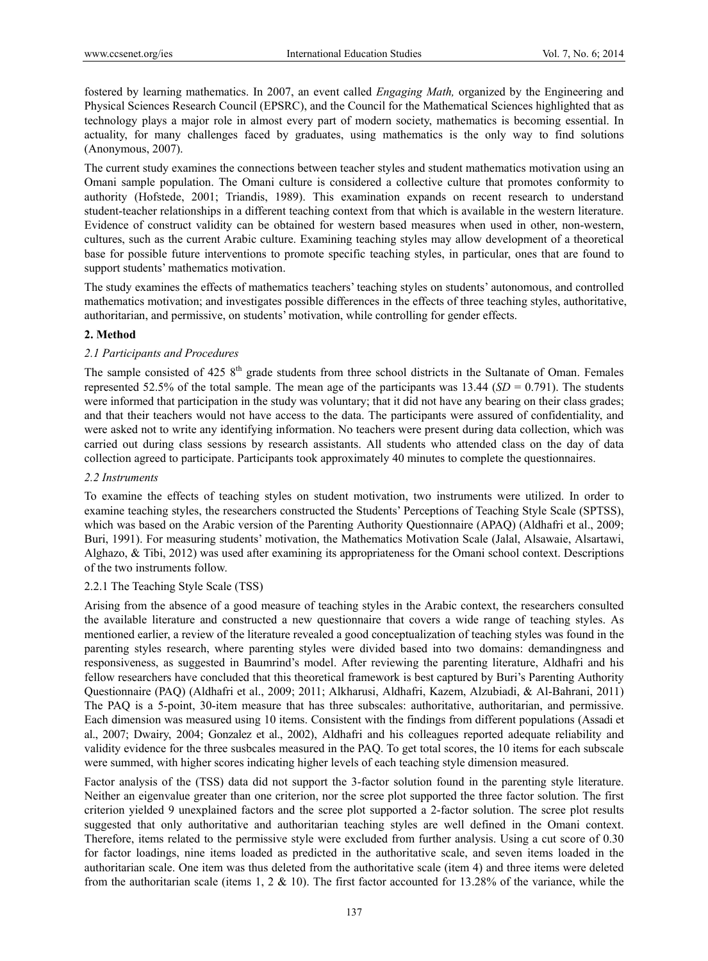fostered by learning mathematics. In 2007, an event called *Engaging Math,* organized by the Engineering and Physical Sciences Research Council (EPSRC), and the Council for the Mathematical Sciences highlighted that as technology plays a major role in almost every part of modern society, mathematics is becoming essential. In actuality, for many challenges faced by graduates, using mathematics is the only way to find solutions (Anonymous, 2007).

The current study examines the connections between teacher styles and student mathematics motivation using an Omani sample population. The Omani culture is considered a collective culture that promotes conformity to authority (Hofstede, 2001; Triandis, 1989). This examination expands on recent research to understand student-teacher relationships in a different teaching context from that which is available in the western literature. Evidence of construct validity can be obtained for western based measures when used in other, non-western, cultures, such as the current Arabic culture. Examining teaching styles may allow development of a theoretical base for possible future interventions to promote specific teaching styles, in particular, ones that are found to support students' mathematics motivation.

The study examines the effects of mathematics teachers' teaching styles on students' autonomous, and controlled mathematics motivation; and investigates possible differences in the effects of three teaching styles, authoritative, authoritarian, and permissive, on students' motivation, while controlling for gender effects.

# **2. Method**

# *2.1 Participants and Procedures*

The sample consisted of 425  $8<sup>th</sup>$  grade students from three school districts in the Sultanate of Oman. Females represented 52.5% of the total sample. The mean age of the participants was  $13.44$  (*SD* = 0.791). The students were informed that participation in the study was voluntary; that it did not have any bearing on their class grades; and that their teachers would not have access to the data. The participants were assured of confidentiality, and were asked not to write any identifying information. No teachers were present during data collection, which was carried out during class sessions by research assistants. All students who attended class on the day of data collection agreed to participate. Participants took approximately 40 minutes to complete the questionnaires.

## *2.2 Instruments*

To examine the effects of teaching styles on student motivation, two instruments were utilized. In order to examine teaching styles, the researchers constructed the Students' Perceptions of Teaching Style Scale (SPTSS), which was based on the Arabic version of the Parenting Authority Questionnaire (APAQ) (Aldhafri et al., 2009; Buri, 1991). For measuring students' motivation, the Mathematics Motivation Scale (Jalal, Alsawaie, Alsartawi, Alghazo, & Tibi, 2012) was used after examining its appropriateness for the Omani school context. Descriptions of the two instruments follow.

## 2.2.1 The Teaching Style Scale (TSS)

Arising from the absence of a good measure of teaching styles in the Arabic context, the researchers consulted the available literature and constructed a new questionnaire that covers a wide range of teaching styles. As mentioned earlier, a review of the literature revealed a good conceptualization of teaching styles was found in the parenting styles research, where parenting styles were divided based into two domains: demandingness and responsiveness, as suggested in Baumrind's model. After reviewing the parenting literature, Aldhafri and his fellow researchers have concluded that this theoretical framework is best captured by Buri's Parenting Authority Questionnaire (PAQ) (Aldhafri et al., 2009; 2011; Alkharusi, Aldhafri, Kazem, Alzubiadi, & Al-Bahrani, 2011) The PAQ is a 5-point, 30-item measure that has three subscales: authoritative, authoritarian, and permissive. Each dimension was measured using 10 items. Consistent with the findings from different populations (Assadi et al., 2007; Dwairy, 2004; Gonzalez et al., 2002), Aldhafri and his colleagues reported adequate reliability and validity evidence for the three susbcales measured in the PAQ. To get total scores, the 10 items for each subscale were summed, with higher scores indicating higher levels of each teaching style dimension measured.

Factor analysis of the (TSS) data did not support the 3-factor solution found in the parenting style literature. Neither an eigenvalue greater than one criterion, nor the scree plot supported the three factor solution. The first criterion yielded 9 unexplained factors and the scree plot supported a 2-factor solution. The scree plot results suggested that only authoritative and authoritarian teaching styles are well defined in the Omani context. Therefore, items related to the permissive style were excluded from further analysis. Using a cut score of 0.30 for factor loadings, nine items loaded as predicted in the authoritative scale, and seven items loaded in the authoritarian scale. One item was thus deleted from the authoritative scale (item 4) and three items were deleted from the authoritarian scale (items 1,  $2 \& 10$ ). The first factor accounted for 13.28% of the variance, while the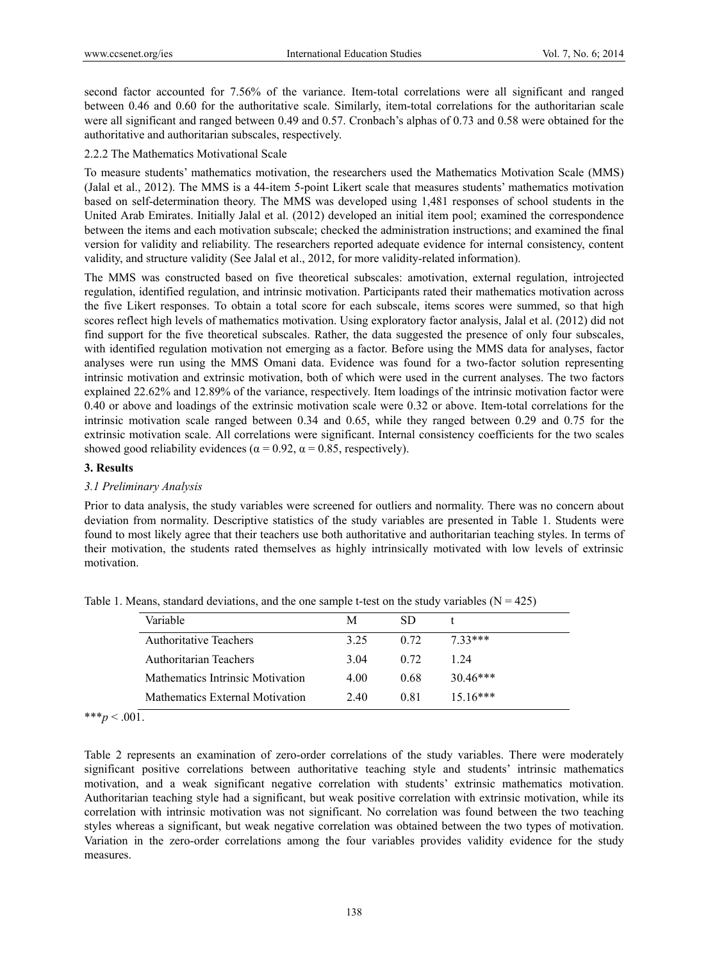second factor accounted for 7.56% of the variance. Item-total correlations were all significant and ranged between 0.46 and 0.60 for the authoritative scale. Similarly, item-total correlations for the authoritarian scale were all significant and ranged between 0.49 and 0.57. Cronbach's alphas of 0.73 and 0.58 were obtained for the authoritative and authoritarian subscales, respectively.

## 2.2.2 The Mathematics Motivational Scale

To measure students' mathematics motivation, the researchers used the Mathematics Motivation Scale (MMS) (Jalal et al., 2012). The MMS is a 44-item 5-point Likert scale that measures students' mathematics motivation based on self-determination theory. The MMS was developed using 1,481 responses of school students in the United Arab Emirates. Initially Jalal et al. (2012) developed an initial item pool; examined the correspondence between the items and each motivation subscale; checked the administration instructions; and examined the final version for validity and reliability. The researchers reported adequate evidence for internal consistency, content validity, and structure validity (See Jalal et al., 2012, for more validity-related information).

The MMS was constructed based on five theoretical subscales: amotivation, external regulation, introjected regulation, identified regulation, and intrinsic motivation. Participants rated their mathematics motivation across the five Likert responses. To obtain a total score for each subscale, items scores were summed, so that high scores reflect high levels of mathematics motivation. Using exploratory factor analysis, Jalal et al. (2012) did not find support for the five theoretical subscales. Rather, the data suggested the presence of only four subscales, with identified regulation motivation not emerging as a factor. Before using the MMS data for analyses, factor analyses were run using the MMS Omani data. Evidence was found for a two-factor solution representing intrinsic motivation and extrinsic motivation, both of which were used in the current analyses. The two factors explained 22.62% and 12.89% of the variance, respectively. Item loadings of the intrinsic motivation factor were 0.40 or above and loadings of the extrinsic motivation scale were 0.32 or above. Item-total correlations for the intrinsic motivation scale ranged between 0.34 and 0.65, while they ranged between 0.29 and 0.75 for the extrinsic motivation scale. All correlations were significant. Internal consistency coefficients for the two scales showed good reliability evidences ( $\alpha$  = 0.92,  $\alpha$  = 0.85, respectively).

## **3. Results**

## *3.1 Preliminary Analysis*

Prior to data analysis, the study variables were screened for outliers and normality. There was no concern about deviation from normality. Descriptive statistics of the study variables are presented in Table 1. Students were found to most likely agree that their teachers use both authoritative and authoritarian teaching styles. In terms of their motivation, the students rated themselves as highly intrinsically motivated with low levels of extrinsic motivation.

| Variable                         | M    | SD.  |            |  |
|----------------------------------|------|------|------------|--|
| <b>Authoritative Teachers</b>    | 3 25 | 0.72 | $7.33***$  |  |
| Authoritarian Teachers           | 3.04 | 0.72 | 1 24       |  |
| Mathematics Intrinsic Motivation | 4.00 | 0.68 | $30.46***$ |  |
| Mathematics External Motivation  | 2.40 | 0.81 | $15.16***$ |  |

Table 1. Means, standard deviations, and the one sample t-test on the study variables ( $N = 425$ )

\*\*\* $p < .001$ .

Table 2 represents an examination of zero-order correlations of the study variables. There were moderately significant positive correlations between authoritative teaching style and students' intrinsic mathematics motivation, and a weak significant negative correlation with students' extrinsic mathematics motivation. Authoritarian teaching style had a significant, but weak positive correlation with extrinsic motivation, while its correlation with intrinsic motivation was not significant. No correlation was found between the two teaching styles whereas a significant, but weak negative correlation was obtained between the two types of motivation. Variation in the zero-order correlations among the four variables provides validity evidence for the study measures.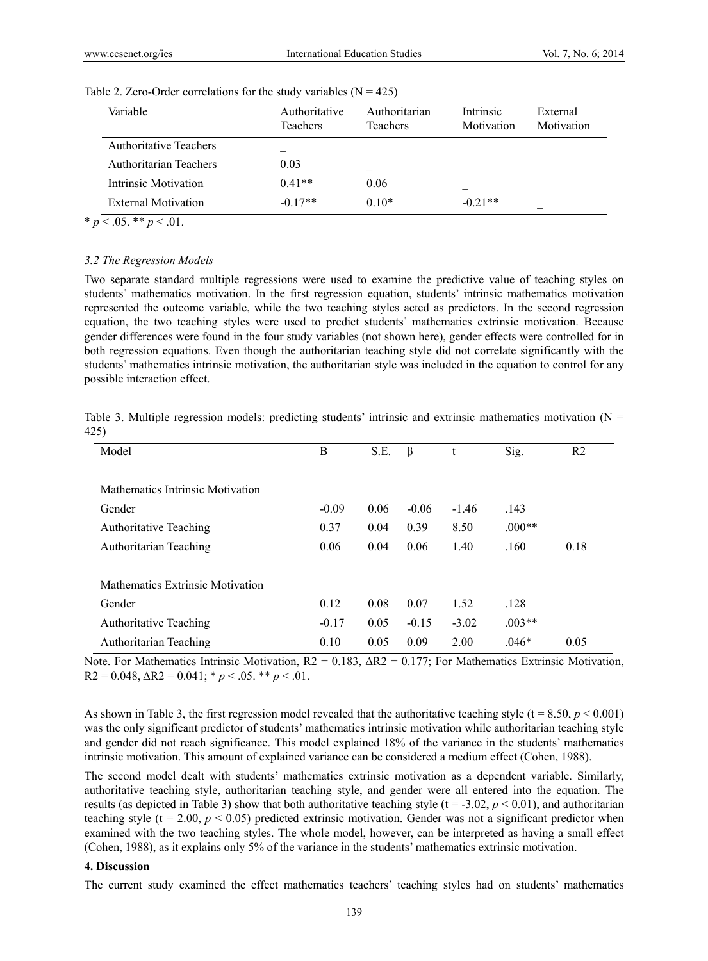| Variable                      | Authoritative<br>Teachers | Authoritarian<br><b>Teachers</b> | Intrinsic<br>Motivation | External<br>Motivation |
|-------------------------------|---------------------------|----------------------------------|-------------------------|------------------------|
| <b>Authoritative Teachers</b> |                           |                                  |                         |                        |
| Authoritarian Teachers        | 0.03                      |                                  |                         |                        |
| Intrinsic Motivation          | $0.41**$                  | 0.06                             |                         |                        |
| External Motivation           | $-0.17**$                 | $0.10*$                          | $-0.21**$               |                        |

| Table 2. Zero-Order correlations for the study variables $(N = 425)$ |
|----------------------------------------------------------------------|
|----------------------------------------------------------------------|

\*  $p < .05$ . \*\*  $p < .01$ .

#### *3.2 The Regression Models*

Two separate standard multiple regressions were used to examine the predictive value of teaching styles on students' mathematics motivation. In the first regression equation, students' intrinsic mathematics motivation represented the outcome variable, while the two teaching styles acted as predictors. In the second regression equation, the two teaching styles were used to predict students' mathematics extrinsic motivation. Because gender differences were found in the four study variables (not shown here), gender effects were controlled for in both regression equations. Even though the authoritarian teaching style did not correlate significantly with the students' mathematics intrinsic motivation, the authoritarian style was included in the equation to control for any possible interaction effect.

|      |  |  |  |  | Table 3. Multiple regression models: predicting students' intrinsic and extrinsic mathematics motivation ( $N =$ |  |
|------|--|--|--|--|------------------------------------------------------------------------------------------------------------------|--|
| 425) |  |  |  |  |                                                                                                                  |  |

| Model                            | B       | S.E. | $\beta$ | t       | Sig.     | R <sub>2</sub> |
|----------------------------------|---------|------|---------|---------|----------|----------------|
|                                  |         |      |         |         |          |                |
| Mathematics Intrinsic Motivation |         |      |         |         |          |                |
| Gender                           | $-0.09$ | 0.06 | $-0.06$ | $-1.46$ | .143     |                |
| <b>Authoritative Teaching</b>    | 0.37    | 0.04 | 0.39    | 8.50    | $.000**$ |                |
| Authoritarian Teaching           | 0.06    | 0.04 | 0.06    | 1.40    | .160     | 0.18           |
|                                  |         |      |         |         |          |                |
| Mathematics Extrinsic Motivation |         |      |         |         |          |                |
| Gender                           | 0.12    | 0.08 | 0.07    | 1.52    | .128     |                |
| <b>Authoritative Teaching</b>    | $-0.17$ | 0.05 | $-0.15$ | $-3.02$ | $.003**$ |                |
| Authoritarian Teaching           | 0.10    | 0.05 | 0.09    | 2.00    | $.046*$  | 0.05           |

Note. For Mathematics Intrinsic Motivation,  $R2 = 0.183$ ,  $\Delta R2 = 0.177$ ; For Mathematics Extrinsic Motivation, R2 = 0.048,  $\Delta$ R2 = 0.041;  $* p < .05.$  \*\*  $p < .01$ .

As shown in Table 3, the first regression model revealed that the authoritative teaching style (t =  $8.50, p \le 0.001$ ) was the only significant predictor of students' mathematics intrinsic motivation while authoritarian teaching style and gender did not reach significance. This model explained 18% of the variance in the students' mathematics intrinsic motivation. This amount of explained variance can be considered a medium effect (Cohen, 1988).

The second model dealt with students' mathematics extrinsic motivation as a dependent variable. Similarly, authoritative teaching style, authoritarian teaching style, and gender were all entered into the equation. The results (as depicted in Table 3) show that both authoritative teaching style ( $t = -3.02$ ,  $p < 0.01$ ), and authoritarian teaching style ( $t = 2.00$ ,  $p < 0.05$ ) predicted extrinsic motivation. Gender was not a significant predictor when examined with the two teaching styles. The whole model, however, can be interpreted as having a small effect (Cohen, 1988), as it explains only 5% of the variance in the students' mathematics extrinsic motivation.

#### **4. Discussion**

The current study examined the effect mathematics teachers' teaching styles had on students' mathematics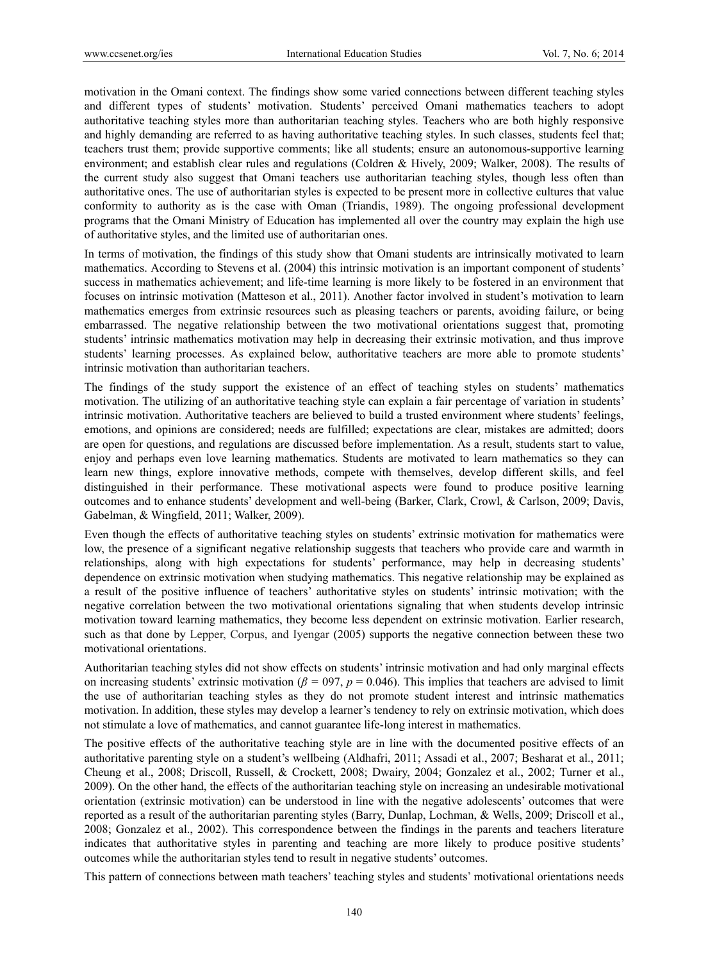motivation in the Omani context. The findings show some varied connections between different teaching styles and different types of students' motivation. Students' perceived Omani mathematics teachers to adopt authoritative teaching styles more than authoritarian teaching styles. Teachers who are both highly responsive and highly demanding are referred to as having authoritative teaching styles. In such classes, students feel that; teachers trust them; provide supportive comments; like all students; ensure an autonomous-supportive learning environment; and establish clear rules and regulations (Coldren & Hively, 2009; Walker, 2008). The results of the current study also suggest that Omani teachers use authoritarian teaching styles, though less often than authoritative ones. The use of authoritarian styles is expected to be present more in collective cultures that value conformity to authority as is the case with Oman (Triandis, 1989). The ongoing professional development programs that the Omani Ministry of Education has implemented all over the country may explain the high use of authoritative styles, and the limited use of authoritarian ones.

In terms of motivation, the findings of this study show that Omani students are intrinsically motivated to learn mathematics. According to Stevens et al. (2004) this intrinsic motivation is an important component of students' success in mathematics achievement; and life-time learning is more likely to be fostered in an environment that focuses on intrinsic motivation (Matteson et al., 2011). Another factor involved in student's motivation to learn mathematics emerges from extrinsic resources such as pleasing teachers or parents, avoiding failure, or being embarrassed. The negative relationship between the two motivational orientations suggest that, promoting students' intrinsic mathematics motivation may help in decreasing their extrinsic motivation, and thus improve students' learning processes. As explained below, authoritative teachers are more able to promote students' intrinsic motivation than authoritarian teachers.

The findings of the study support the existence of an effect of teaching styles on students' mathematics motivation. The utilizing of an authoritative teaching style can explain a fair percentage of variation in students' intrinsic motivation. Authoritative teachers are believed to build a trusted environment where students' feelings, emotions, and opinions are considered; needs are fulfilled; expectations are clear, mistakes are admitted; doors are open for questions, and regulations are discussed before implementation. As a result, students start to value, enjoy and perhaps even love learning mathematics. Students are motivated to learn mathematics so they can learn new things, explore innovative methods, compete with themselves, develop different skills, and feel distinguished in their performance. These motivational aspects were found to produce positive learning outcomes and to enhance students' development and well-being (Barker, Clark, Crowl, & Carlson, 2009; Davis, Gabelman, & Wingfield, 2011; Walker, 2009).

Even though the effects of authoritative teaching styles on students' extrinsic motivation for mathematics were low, the presence of a significant negative relationship suggests that teachers who provide care and warmth in relationships, along with high expectations for students' performance, may help in decreasing students' dependence on extrinsic motivation when studying mathematics. This negative relationship may be explained as a result of the positive influence of teachers' authoritative styles on students' intrinsic motivation; with the negative correlation between the two motivational orientations signaling that when students develop intrinsic motivation toward learning mathematics, they become less dependent on extrinsic motivation. Earlier research, such as that done by Lepper, Corpus, and Iyengar (2005) supports the negative connection between these two motivational orientations.

Authoritarian teaching styles did not show effects on students' intrinsic motivation and had only marginal effects on increasing students' extrinsic motivation ( $\beta = 0.97$ ,  $p = 0.046$ ). This implies that teachers are advised to limit the use of authoritarian teaching styles as they do not promote student interest and intrinsic mathematics motivation. In addition, these styles may develop a learner's tendency to rely on extrinsic motivation, which does not stimulate a love of mathematics, and cannot guarantee life-long interest in mathematics.

The positive effects of the authoritative teaching style are in line with the documented positive effects of an authoritative parenting style on a student's wellbeing (Aldhafri, 2011; Assadi et al., 2007; Besharat et al., 2011; Cheung et al., 2008; Driscoll, Russell, & Crockett, 2008; Dwairy, 2004; Gonzalez et al., 2002; Turner et al., 2009). On the other hand, the effects of the authoritarian teaching style on increasing an undesirable motivational orientation (extrinsic motivation) can be understood in line with the negative adolescents' outcomes that were reported as a result of the authoritarian parenting styles (Barry, Dunlap, Lochman, & Wells, 2009; Driscoll et al., 2008; Gonzalez et al., 2002). This correspondence between the findings in the parents and teachers literature indicates that authoritative styles in parenting and teaching are more likely to produce positive students' outcomes while the authoritarian styles tend to result in negative students' outcomes.

This pattern of connections between math teachers' teaching styles and students' motivational orientations needs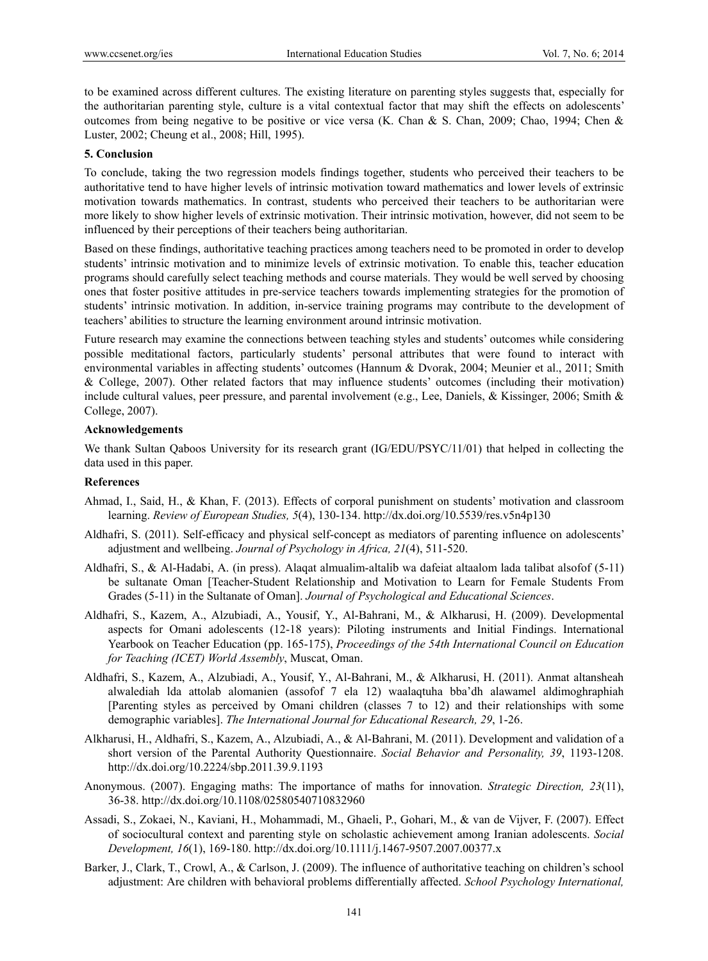to be examined across different cultures. The existing literature on parenting styles suggests that, especially for the authoritarian parenting style, culture is a vital contextual factor that may shift the effects on adolescents' outcomes from being negative to be positive or vice versa (K. Chan & S. Chan, 2009; Chao, 1994; Chen & Luster, 2002; Cheung et al., 2008; Hill, 1995).

#### **5. Conclusion**

To conclude, taking the two regression models findings together, students who perceived their teachers to be authoritative tend to have higher levels of intrinsic motivation toward mathematics and lower levels of extrinsic motivation towards mathematics. In contrast, students who perceived their teachers to be authoritarian were more likely to show higher levels of extrinsic motivation. Their intrinsic motivation, however, did not seem to be influenced by their perceptions of their teachers being authoritarian.

Based on these findings, authoritative teaching practices among teachers need to be promoted in order to develop students' intrinsic motivation and to minimize levels of extrinsic motivation. To enable this, teacher education programs should carefully select teaching methods and course materials. They would be well served by choosing ones that foster positive attitudes in pre-service teachers towards implementing strategies for the promotion of students' intrinsic motivation. In addition, in-service training programs may contribute to the development of teachers' abilities to structure the learning environment around intrinsic motivation.

Future research may examine the connections between teaching styles and students' outcomes while considering possible meditational factors, particularly students' personal attributes that were found to interact with environmental variables in affecting students' outcomes (Hannum & Dvorak, 2004; Meunier et al., 2011; Smith & College, 2007). Other related factors that may influence students' outcomes (including their motivation) include cultural values, peer pressure, and parental involvement (e.g., Lee, Daniels, & Kissinger, 2006; Smith & College, 2007).

#### **Acknowledgements**

We thank Sultan Qaboos University for its research grant (IG/EDU/PSYC/11/01) that helped in collecting the data used in this paper.

#### **References**

- Ahmad, I., Said, H., & Khan, F. (2013). Effects of corporal punishment on students' motivation and classroom learning. *Review of European Studies, 5*(4), 130-134. http://dx.doi.org/10.5539/res.v5n4p130
- Aldhafri, S. (2011). Self-efficacy and physical self-concept as mediators of parenting influence on adolescents' adjustment and wellbeing. *Journal of Psychology in Africa, 21*(4), 511-520.
- Aldhafri, S., & Al-Hadabi, A. (in press). Alaqat almualim-altalib wa dafeiat altaalom lada talibat alsofof (5-11) be sultanate Oman [Teacher-Student Relationship and Motivation to Learn for Female Students From Grades (5-11) in the Sultanate of Oman]. *Journal of Psychological and Educational Sciences*.
- Aldhafri, S., Kazem, A., Alzubiadi, A., Yousif, Y., Al-Bahrani, M., & Alkharusi, H. (2009). Developmental aspects for Omani adolescents (12-18 years): Piloting instruments and Initial Findings. International Yearbook on Teacher Education (pp. 165-175), *Proceedings of the 54th International Council on Education for Teaching (ICET) World Assembly*, Muscat, Oman.
- Aldhafri, S., Kazem, A., Alzubiadi, A., Yousif, Y., Al-Bahrani, M., & Alkharusi, H. (2011). Anmat altansheah alwalediah lda attolab alomanien (assofof 7 ela 12) waalaqtuha bba'dh alawamel aldimoghraphiah [Parenting styles as perceived by Omani children (classes 7 to 12) and their relationships with some demographic variables]. *The International Journal for Educational Research, 29*, 1-26.
- Alkharusi, H., Aldhafri, S., Kazem, A., Alzubiadi, A., & Al-Bahrani, M. (2011). Development and validation of a short version of the Parental Authority Questionnaire. *Social Behavior and Personality, 39*, 1193-1208. http://dx.doi.org/10.2224/sbp.2011.39.9.1193
- Anonymous. (2007). Engaging maths: The importance of maths for innovation. *Strategic Direction, 23*(11), 36-38. http://dx.doi.org/10.1108/02580540710832960
- Assadi, S., Zokaei, N., Kaviani, H., Mohammadi, M., Ghaeli, P., Gohari, M., & van de Vijver, F. (2007). Effect of sociocultural context and parenting style on scholastic achievement among Iranian adolescents. *Social Development, 16*(1), 169-180. http://dx.doi.org/10.1111/j.1467-9507.2007.00377.x
- Barker, J., Clark, T., Crowl, A., & Carlson, J. (2009). The influence of authoritative teaching on children's school adjustment: Are children with behavioral problems differentially affected. *School Psychology International,*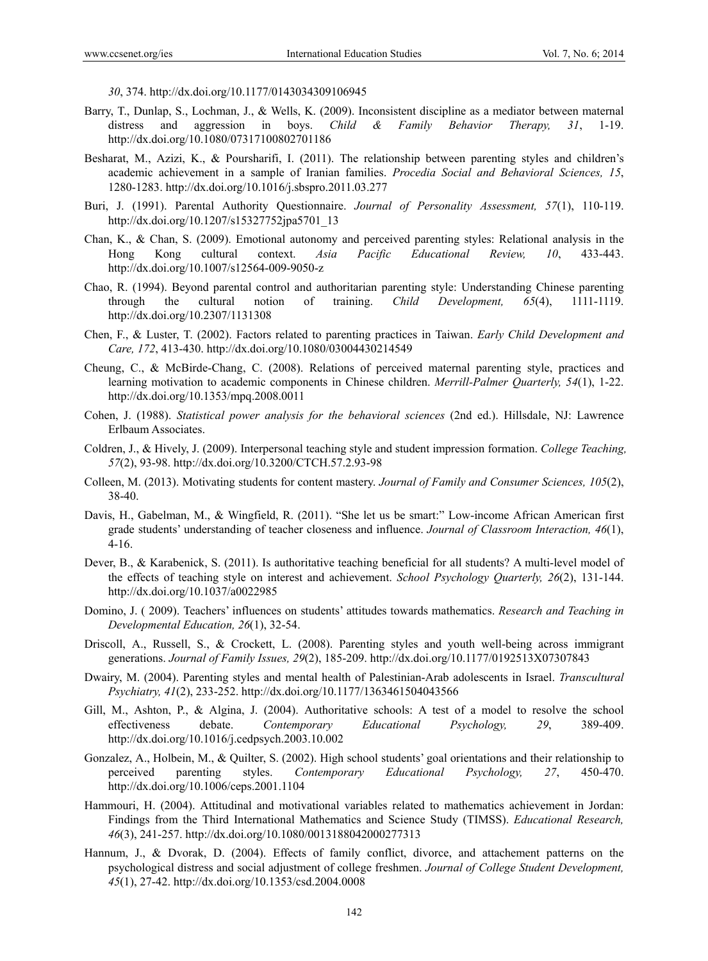*30*, 374. http://dx.doi.org/10.1177/0143034309106945

- Barry, T., Dunlap, S., Lochman, J., & Wells, K. (2009). Inconsistent discipline as a mediator between maternal distress and aggression in boys. *Child & Family Behavior Therapy, 31*, 1-19. http://dx.doi.org/10.1080/07317100802701186
- Besharat, M., Azizi, K., & Poursharifi, I. (2011). The relationship between parenting styles and children's academic achievement in a sample of Iranian families. *Procedia Social and Behavioral Sciences, 15*, 1280-1283. http://dx.doi.org/10.1016/j.sbspro.2011.03.277
- Buri, J. (1991). Parental Authority Questionnaire. *Journal of Personality Assessment, 57*(1), 110-119. http://dx.doi.org/10.1207/s15327752jpa5701\_13
- Chan, K., & Chan, S. (2009). Emotional autonomy and perceived parenting styles: Relational analysis in the Hong Kong cultural context. *Asia Pacific Educational Review, 10*, 433-443. http://dx.doi.org/10.1007/s12564-009-9050-z
- Chao, R. (1994). Beyond parental control and authoritarian parenting style: Understanding Chinese parenting through the cultural notion of training. *Child Development, 65*(4), 1111-1119. http://dx.doi.org/10.2307/1131308
- Chen, F., & Luster, T. (2002). Factors related to parenting practices in Taiwan. *Early Child Development and Care, 172*, 413-430. http://dx.doi.org/10.1080/03004430214549
- Cheung, C., & McBirde-Chang, C. (2008). Relations of perceived maternal parenting style, practices and learning motivation to academic components in Chinese children. *Merrill-Palmer Quarterly, 54*(1), 1-22. http://dx.doi.org/10.1353/mpq.2008.0011
- Cohen, J. (1988). *Statistical power analysis for the behavioral sciences* (2nd ed.). Hillsdale, NJ: Lawrence Erlbaum Associates.
- Coldren, J., & Hively, J. (2009). Interpersonal teaching style and student impression formation. *College Teaching, 57*(2), 93-98. http://dx.doi.org/10.3200/CTCH.57.2.93-98
- Colleen, M. (2013). Motivating students for content mastery. *Journal of Family and Consumer Sciences, 105*(2), 38-40.
- Davis, H., Gabelman, M., & Wingfield, R. (2011). "She let us be smart:" Low-income African American first grade students' understanding of teacher closeness and influence. *Journal of Classroom Interaction, 46*(1), 4-16.
- Dever, B., & Karabenick, S. (2011). Is authoritative teaching beneficial for all students? A multi-level model of the effects of teaching style on interest and achievement. *School Psychology Quarterly, 26*(2), 131-144. http://dx.doi.org/10.1037/a0022985
- Domino, J. ( 2009). Teachers' influences on students' attitudes towards mathematics. *Research and Teaching in Developmental Education, 26*(1), 32-54.
- Driscoll, A., Russell, S., & Crockett, L. (2008). Parenting styles and youth well-being across immigrant generations. *Journal of Family Issues, 29*(2), 185-209. http://dx.doi.org/10.1177/0192513X07307843
- Dwairy, M. (2004). Parenting styles and mental health of Palestinian-Arab adolescents in Israel. *Transcultural Psychiatry, 41*(2), 233-252. http://dx.doi.org/10.1177/1363461504043566
- Gill, M., Ashton, P., & Algina, J. (2004). Authoritative schools: A test of a model to resolve the school effectiveness debate. *Contemporary Educational Psychology, 29*, 389-409. http://dx.doi.org/10.1016/j.cedpsych.2003.10.002
- Gonzalez, A., Holbein, M., & Quilter, S. (2002). High school students' goal orientations and their relationship to perceived parenting styles. *Contemporary Educational Psychology, 27*, 450-470. http://dx.doi.org/10.1006/ceps.2001.1104
- Hammouri, H. (2004). Attitudinal and motivational variables related to mathematics achievement in Jordan: Findings from the Third International Mathematics and Science Study (TIMSS). *Educational Research, 46*(3), 241-257. http://dx.doi.org/10.1080/0013188042000277313
- Hannum, J., & Dvorak, D. (2004). Effects of family conflict, divorce, and attachement patterns on the psychological distress and social adjustment of college freshmen. *Journal of College Student Development, 45*(1), 27-42. http://dx.doi.org/10.1353/csd.2004.0008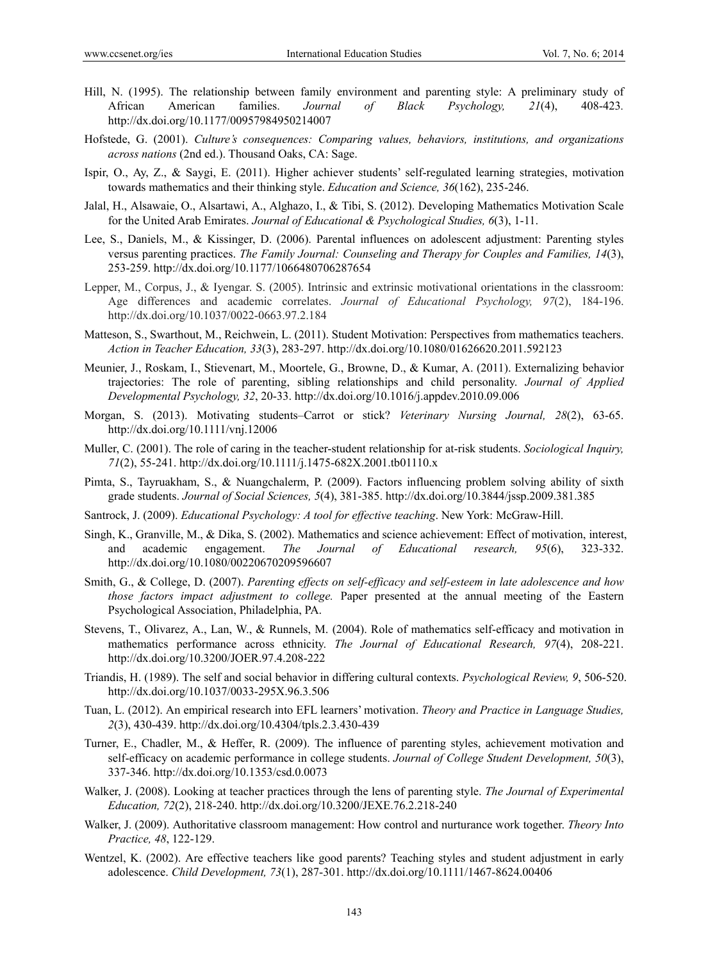- Hill, N. (1995). The relationship between family environment and parenting style: A preliminary study of African American families. *Journal of Black Psychology, 21*(4), 408-423*.* http://dx.doi.org/10.1177/00957984950214007
- Hofstede, G. (2001). *Culture's consequences: Comparing values, behaviors, institutions, and organizations across nations* (2nd ed.). Thousand Oaks, CA: Sage.
- Ispir, O., Ay, Z., & Saygi, E. (2011). Higher achiever students' self-regulated learning strategies, motivation towards mathematics and their thinking style. *Education and Science, 36*(162), 235-246.
- Jalal, H., Alsawaie, O., Alsartawi, A., Alghazo, I., & Tibi, S. (2012). Developing Mathematics Motivation Scale for the United Arab Emirates. *Journal of Educational & Psychological Studies, 6*(3), 1-11.
- Lee, S., Daniels, M., & Kissinger, D. (2006). Parental influences on adolescent adjustment: Parenting styles versus parenting practices. *The Family Journal: Counseling and Therapy for Couples and Families, 14*(3), 253-259. http://dx.doi.org/10.1177/1066480706287654
- Lepper, M., Corpus, J., & Iyengar. S. (2005). Intrinsic and extrinsic motivational orientations in the classroom: Age differences and academic correlates. *Journal of Educational Psychology, 97*(2), 184-196. http://dx.doi.org/10.1037/0022-0663.97.2.184
- Matteson, S., Swarthout, M., Reichwein, L. (2011). Student Motivation: Perspectives from mathematics teachers. *Action in Teacher Education, 33*(3), 283-297. http://dx.doi.org/10.1080/01626620.2011.592123
- Meunier, J., Roskam, I., Stievenart, M., Moortele, G., Browne, D., & Kumar, A. (2011). Externalizing behavior trajectories: The role of parenting, sibling relationships and child personality. *Journal of Applied Developmental Psychology, 32*, 20-33. http://dx.doi.org/10.1016/j.appdev.2010.09.006
- Morgan, S. (2013). Motivating students–Carrot or stick? *Veterinary Nursing Journal, 28*(2), 63-65. http://dx.doi.org/10.1111/vnj.12006
- Muller, C. (2001). The role of caring in the teacher-student relationship for at-risk students. *Sociological Inquiry, 71*(2), 55-241. http://dx.doi.org/10.1111/j.1475-682X.2001.tb01110.x
- Pimta, S., Tayruakham, S., & Nuangchalerm, P. (2009). Factors influencing problem solving ability of sixth grade students. *Journal of Social Sciences, 5*(4), 381-385. http://dx.doi.org/10.3844/jssp.2009.381.385
- Santrock, J. (2009). *Educational Psychology: A tool for effective teaching*. New York: McGraw-Hill.
- Singh, K., Granville, M., & Dika, S. (2002). Mathematics and science achievement: Effect of motivation, interest, and academic engagement. *The Journal of Educational research, 95*(6), 323-332. http://dx.doi.org/10.1080/00220670209596607
- Smith, G., & College, D. (2007). *Parenting effects on self-efficacy and self-esteem in late adolescence and how those factors impact adjustment to college.* Paper presented at the annual meeting of the Eastern Psychological Association, Philadelphia, PA.
- Stevens, T., Olivarez, A., Lan, W., & Runnels, M. (2004). Role of mathematics self-efficacy and motivation in mathematics performance across ethnicity. *The Journal of Educational Research, 97*(4), 208-221. http://dx.doi.org/10.3200/JOER.97.4.208-222
- Triandis, H. (1989). The self and social behavior in differing cultural contexts. *Psychological Review, 9*, 506-520. http://dx.doi.org/10.1037/0033-295X.96.3.506
- Tuan, L. (2012). An empirical research into EFL learners' motivation. *Theory and Practice in Language Studies, 2*(3), 430-439. http://dx.doi.org/10.4304/tpls.2.3.430-439
- Turner, E., Chadler, M., & Heffer, R. (2009). The influence of parenting styles, achievement motivation and self-efficacy on academic performance in college students. *Journal of College Student Development, 50*(3), 337-346. http://dx.doi.org/10.1353/csd.0.0073
- Walker, J. (2008). Looking at teacher practices through the lens of parenting style. *The Journal of Experimental Education, 72*(2), 218-240. http://dx.doi.org/10.3200/JEXE.76.2.218-240
- Walker, J. (2009). Authoritative classroom management: How control and nurturance work together. *Theory Into Practice, 48*, 122-129.
- Wentzel, K. (2002). Are effective teachers like good parents? Teaching styles and student adjustment in early adolescence. *Child Development, 73*(1), 287-301. http://dx.doi.org/10.1111/1467-8624.00406